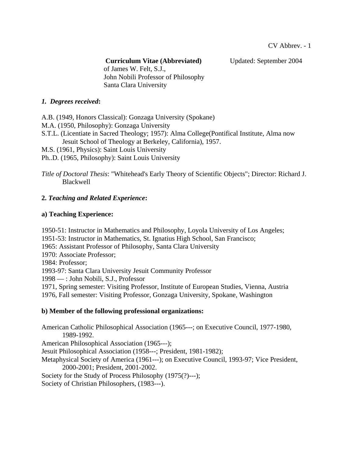**Curriculum Vitae (Abbreviated)** Updated: September 2004

 of James W. Felt, S.J., John Nobili Professor of Philosophy Santa Clara University

### *1. Degrees received***:**

A.B. (1949, Honors Classical): Gonzaga University (Spokane)

- M.A. (1950, Philosophy): Gonzaga University
- S.T.L. (Licentiate in Sacred Theology; 1957): Alma College(Pontifical Institute, Alma now Jesuit School of Theology at Berkeley, California), 1957.
- M.S. (1961, Physics): Saint Louis University
- Ph..D. (1965, Philosophy): Saint Louis University

*Title of Doctoral Thesis*: "Whitehead's Early Theory of Scientific Objects"; Director: Richard J. Blackwell

# **2.** *Teaching and Related Experience***:**

## **a) Teaching Experience:**

1950-51: Instructor in Mathematics and Philosophy, Loyola University of Los Angeles; 1951-53: Instructor in Mathematics, St. Ignatius High School, San Francisco; 1965: Assistant Professor of Philosophy, Santa Clara University 1970: Associate Professor; 1984: Professor; 1993-97: Santa Clara University Jesuit Community Professor 1998 — : John Nobili, S.J., Professor 1971, Spring semester: Visiting Professor, Institute of European Studies, Vienna, Austria 1976, Fall semester: Visiting Professor, Gonzaga University, Spokane, Washington

### **b) Member of the following professional organizations:**

American Catholic Philosophical Association (1965---; on Executive Council, 1977-1980, 1989-1992. American Philosophical Association (1965---); Jesuit Philosophical Association (1958---; President, 1981-1982); Metaphysical Society of America (1961---); on Executive Council, 1993-97; Vice President, 2000-2001; President, 2001-2002. Society for the Study of Process Philosophy (1975(?)---); Society of Christian Philosophers, (1983---).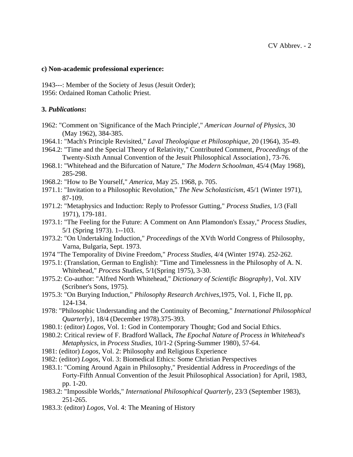#### **c) Non-academic professional experience:**

1943---: Member of the Society of Jesus (Jesuit Order); 1956: Ordained Roman Catholic Priest.

#### **3.** *Publications***:**

- 1962: "Comment on 'Significance of the Mach Principle'," *American Journal of Physics*, 30 (May 1962), 384-385.
- 1964.1: "Mach's Principle Revisited," *Laval Theologique et Philosophique*, 20 (1964), 35-49.
- 1964.2: "Time and the Special Theory of Relativity," Contributed Comment, *Proceedings* of the Twenty-Sixth Annual Convention of the Jesuit Philosophical Association}, 73-76.
- 1968.1: "Whitehead and the Bifurcation of Nature," *The Modern Schoolman*, 45/4 (May 1968), 285-298.
- 1968.2: "How to Be Yourself," *America*, May 25. 1968, p. 705.
- 1971.1: "Invitation to a Philosophic Revolution," *The New Scholasticism*, 45/1 (Winter 1971), 87-109.
- 1971.2: "Metaphysics and Induction: Reply to Professor Gutting," *Process Studies*, 1/3 (Fall 1971), 179-181.
- 1973.1: "The Feeling for the Future: A Comment on Ann Plamondon's Essay," *Process Studies*, 5/1 (Spring 1973). 1--103.
- 1973.2: "On Undertaking Induction," *Proceedings* of the XVth World Congress of Philosophy, Varna, Bulgaria, Sept. 1973.
- 1974 "The Temporality of Divine Freedom," *Process Studies*, 4/4 (Winter 1974). 252-262.
- 1975.1: (Translation, German to English): "Time and Timelessness in the Philosophy of A. N. Whitehead," *Process Studies*, 5/1(Spring 1975), 3-30.
- 1975.2: Co-author: "Alfred North Whitehead," *Dictionary of Scientific Biography*}, Vol. XIV (Scribner's Sons, 1975).
- 1975.3: "On Burying Induction," *Philosophy Research Archives*,1975, Vol. 1, Fiche II, pp. 124-134.
- 1978: "Philosophic Understanding and the Continuity of Becoming," *International Philosophical Quarterly*}, 18/4 (December 1978).375-393.
- 1980.1: (editor) *Logos*, Vol. 1: God in Contemporary Thought; God and Social Ethics.
- 1980.2: Critical review of F. Bradford Wallack, *The Epochal Nature of Process in Whitehead's Metaphysics*, in *Process Studies*, 10/1-2 (Spring-Summer 1980), 57-64.
- 1981: (editor) *Logos*, Vol. 2: Philosophy and Religious Experience
- 1982: (editor) *Logos*, Vol. 3: Biomedical Ethics: Some Christian Perspectives
- 1983.1: "Coming Around Again in Philosophy," Presidential Address in *Proceedings* of the Forty-Fifth Annual Convention of the Jesuit Philosophical Association} for April, 1983, pp. 1-20.
- 1983.2: "Impossible Worlds," *International Philosophical Quarterly*, 23/3 (September 1983), 251-265.
- 1983.3: (editor) *Logos*, Vol. 4: The Meaning of History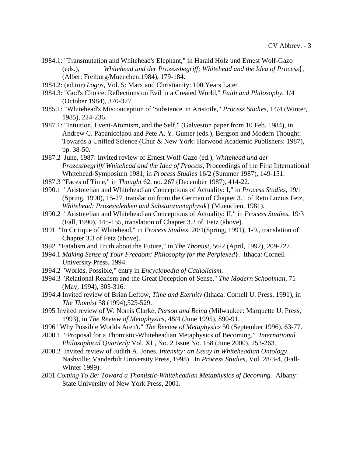- 1984.1: "Transmutation and Whitehead's Elephant," in Harald Holz und Ernest Wolf-Gazo (eds.), *Whitehead und der Prozessbegriff; Whitehead and the Idea of Process*}, (Alber: Freiburg/Muenchen:1984), 179-184.
- 1984.2: (editor) *Logos*, Vol. 5: Marx and Christianity: 100 Years Later
- 1984.3: "God's Choice: Reflections on Evil in a Created World," *Faith and Philosophy*, 1/4 (October 1984), 370-377.
- 1985.1: "Whitehead's Misconception of 'Substance' in Aristotle," *Process Studies*, 14/4 (Winter, 1985), 224-236.
- 1987.1: "Intuition, Event-Atomism, and the Self," (Galveston paper from 10 Feb. 1984), in Andrew C. Papanicolaou and Pete A. Y. Gunter (eds.), Bergson and Modern Thought: Towards a Unified Science (Chur & New York: Harwood Academic Publishers: 1987), pp. 38-50.
- 1987.2 June, 1987: Invited review of Ernest Wolf-Gazo (ed.), *Whitehead und der Prozessbegriff/ Whitehead and the Idea of Process*, Proceedings of the First International Whitehead-Symposium 1981, in *Process Studies* 16/2 (Summer 1987), 149-151.
- 1987.3 "Faces of Time," in *Thought* 62, no. 267 (December 1987), 414-22.
- 1990.1 "Aristotelian and Whiteheadian Conceptions of Actuality: I," in *Process Studies*, 19/1 (Spring, 1990), 15-27, translation from the German of Chapter 3.1 of Reto Luzius Fetz, *Whitehead: Prozessdenken und Substanzmetaphysik*} (Muenchen, 1981).
- 1990.2 "Aristotelian and Whiteheadian Conceptions of Actuality: II," in *Process Studies*, 19/3 (Fall, 1990), 145-155, translation of Chapter 3.2 of Fetz (above).
- 1991 "In Critique of Whitehead," in *Process Studies*, 20/1(Spring, 1991), 1-9., translation of Chapter 3.3 of Fetz (above).
- 1992 "Fatalism and Truth about the Future," in *The Thomist*, 56/2 (April, 1992), 209-227.
- 1994.1 *Making Sense of Your Freedom: Philosophy for the Perplexed*}. Ithaca: Cornell University Press, 1994.
- 1994.2 "Worlds, Possible," entry in *Encyclopedia of Catholicism*.
- 1994.3 "Relational Realism and the Great Deception of Sense," *The Modern Schoolman*, 71 (May, 1994), 305-316.
- 1994.4 Invited review of Brian Leftow, *Time and Eternity* (Ithaca: Cornell U. Press, 1991), in *The Thomist* 58 (1994),525-529.
- 1995 Invited review of W. Norris Clarke, *Person and Being* (Milwaukee: Marquette U. Press, 1993), in *The Review of Metaphysics*, 48/4 (June 1995), 890-91.
- 1996 "Why Possible Worlds Aren't," *The Review of Metaphysics* 50 (September 1996), 63-77.
- 2000.1 "Proposal for a Thomistic-Whiteheadian Metaphysics of Becoming." *International Philosophical Quarterly* Vol. XL, No. 2 Issue No. 158 (June 2000), 253-263.
- 2000.2 Invited review of Judith A. Jones, *Intensity: an Essay in Whiteheadian Ontology*. Nashville: Vanderbilt University Press, 1998). In *Process Studies*, Vol. 28/3-4, (Fall-Winter 1999).
- 2001 *Coming To Be: Toward a Thomistic-Whiteheadian Metaphysics of Becoming.* Albany: State University of New York Press, 2001.